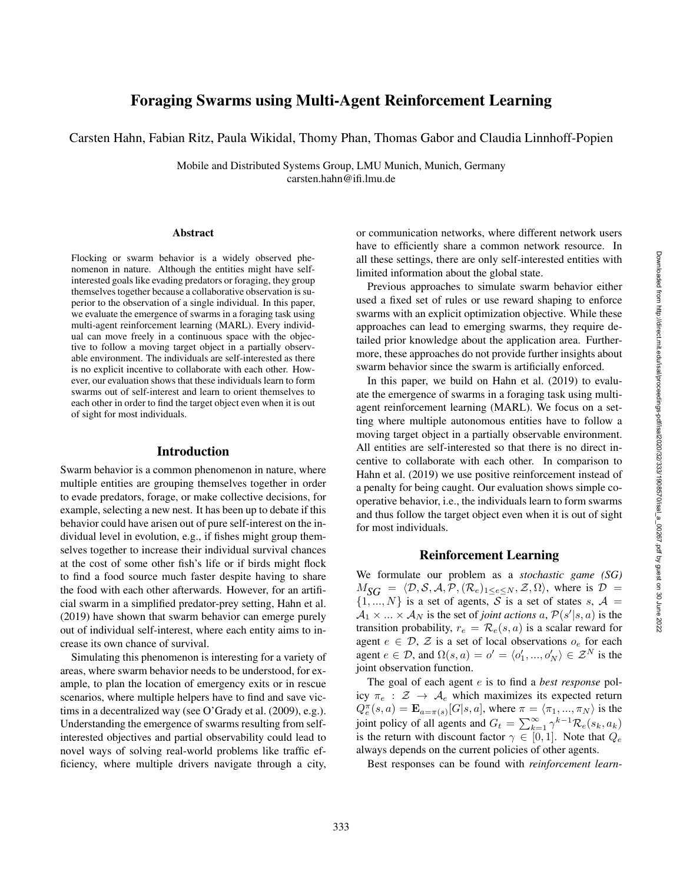# Foraging Swarms using Multi-Agent Reinforcement Learning

Carsten Hahn, Fabian Ritz, Paula Wikidal, Thomy Phan, Thomas Gabor and Claudia Linnhoff-Popien

Mobile and Distributed Systems Group, LMU Munich, Munich, Germany carsten.hahn@ifi.lmu.de

#### Abstract

Flocking or swarm behavior is a widely observed phenomenon in nature. Although the entities might have selfinterested goals like evading predators or foraging, they group themselves together because a collaborative observation is superior to the observation of a single individual. In this paper, we evaluate the emergence of swarms in a foraging task using multi-agent reinforcement learning (MARL). Every individual can move freely in a continuous space with the objective to follow a moving target object in a partially observable environment. The individuals are self-interested as there is no explicit incentive to collaborate with each other. However, our evaluation shows that these individuals learn to form swarms out of self-interest and learn to orient themselves to each other in order to find the target object even when it is out of sight for most individuals.

#### Introduction

Swarm behavior is a common phenomenon in nature, where multiple entities are grouping themselves together in order to evade predators, forage, or make collective decisions, for example, selecting a new nest. It has been up to debate if this behavior could have arisen out of pure self-interest on the individual level in evolution, e.g., if fishes might group themselves together to increase their individual survival chances at the cost of some other fish's life or if birds might flock to find a food source much faster despite having to share the food with each other afterwards. However, for an artificial swarm in a simplified predator-prey setting, Hahn et al. (2019) have shown that swarm behavior can emerge purely out of individual self-interest, where each entity aims to increase its own chance of survival.

Simulating this phenomenon is interesting for a variety of areas, where swarm behavior needs to be understood, for example, to plan the location of emergency exits or in rescue scenarios, where multiple helpers have to find and save victims in a decentralized way (see O'Grady et al. (2009), e.g.). Understanding the emergence of swarms resulting from selfinterested objectives and partial observability could lead to novel ways of solving real-world problems like traffic efficiency, where multiple drivers navigate through a city, or communication networks, where different network users have to efficiently share a common network resource. In all these settings, there are only self-interested entities with limited information about the global state.

Previous approaches to simulate swarm behavior either used a fixed set of rules or use reward shaping to enforce swarms with an explicit optimization objective. While these approaches can lead to emerging swarms, they require detailed prior knowledge about the application area. Furthermore, these approaches do not provide further insights about swarm behavior since the swarm is artificially enforced.

In this paper, we build on Hahn et al. (2019) to evaluate the emergence of swarms in a foraging task using multiagent reinforcement learning (MARL). We focus on a setting where multiple autonomous entities have to follow a moving target object in a partially observable environment. All entities are self-interested so that there is no direct incentive to collaborate with each other. In comparison to Hahn et al. (2019) we use positive reinforcement instead of a penalty for being caught. Our evaluation shows simple cooperative behavior, i.e., the individuals learn to form swarms and thus follow the target object even when it is out of sight for most individuals.

#### Reinforcement Learning

We formulate our problem as a *stochastic game (SG)*  $M_{SG} = \langle \mathcal{D}, \mathcal{S}, \mathcal{A}, \mathcal{P}, (\mathcal{R}_e)_{1 \leq e \leq N}, \mathcal{Z}, \Omega \rangle$ , where is  $\mathcal{D} =$  $\{1, ..., N\}$  is a set of agents, S is a set of states s,  $\mathcal{A} =$  $A_1 \times ... \times A_N$  is the set of *joint actions* a,  $P(s'|s, a)$  is the transition probability,  $r_e = \mathcal{R}_e(s, a)$  is a scalar reward for agent  $e \in \mathcal{D}, \mathcal{Z}$  is a set of local observations  $o_e$  for each agent  $e \in \mathcal{D}$ , and  $\Omega(s, a) = o' = \langle o'_1, ..., o'_N \rangle \in \mathcal{Z}^N$  is the joint observation function.

The goal of each agent e is to find a *best response* policy  $\pi_e : \mathcal{Z} \to \mathcal{A}_e$  which maximizes its expected return  $Q_e^{\pi}(s, a) = \mathbf{E}_{a=\pi(s)}[G|s, a]$ , where  $\pi = \langle \pi_1, ..., \pi_N \rangle$  is the joint policy of all agents and  $G_t = \sum_{k=1}^{\infty} \gamma^{k-1} \mathcal{R}_e(s_k, a_k)$ is the return with discount factor  $\gamma \in [0,1]$ . Note that  $Q_e$ always depends on the current policies of other agents.

Best responses can be found with *reinforcement learn-*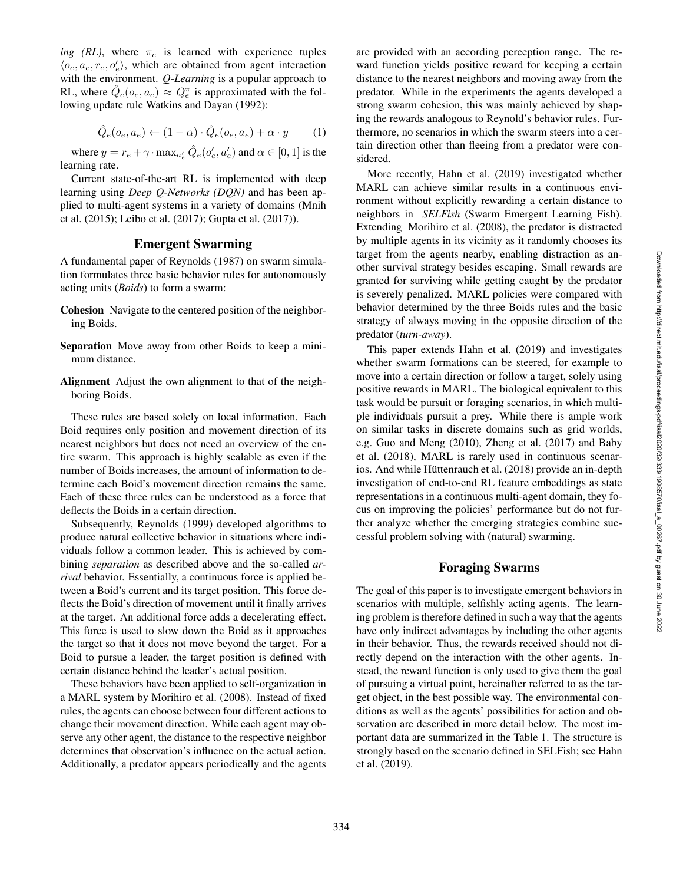*ing (RL)*, where  $\pi_e$  is learned with experience tuples  $\langle o_e, a_e, r_e, o'_e \rangle$ , which are obtained from agent interaction with the environment. *Q-Learning* is a popular approach to RL, where  $\hat{Q}_e(o_e, a_e) \approx Q_e^{\pi}$  is approximated with the following update rule Watkins and Dayan (1992):

$$
\hat{Q}_e(o_e, a_e) \leftarrow (1 - \alpha) \cdot \hat{Q}_e(o_e, a_e) + \alpha \cdot y \tag{1}
$$

where  $y = r_e + \gamma \cdot \max_{a_e'} \hat{Q}_e(o_e', a_e')$  and  $\alpha \in [0, 1]$  is the learning rate.

Current state-of-the-art RL is implemented with deep learning using *Deep Q-Networks (DQN)* and has been applied to multi-agent systems in a variety of domains (Mnih et al. (2015); Leibo et al. (2017); Gupta et al. (2017)).

# Emergent Swarming

A fundamental paper of Reynolds (1987) on swarm simulation formulates three basic behavior rules for autonomously acting units (*Boids*) to form a swarm:

- Cohesion Navigate to the centered position of the neighboring Boids.
- Separation Move away from other Boids to keep a minimum distance.
- Alignment Adjust the own alignment to that of the neighboring Boids.

These rules are based solely on local information. Each Boid requires only position and movement direction of its nearest neighbors but does not need an overview of the entire swarm. This approach is highly scalable as even if the number of Boids increases, the amount of information to determine each Boid's movement direction remains the same. Each of these three rules can be understood as a force that deflects the Boids in a certain direction.

Subsequently, Reynolds (1999) developed algorithms to produce natural collective behavior in situations where individuals follow a common leader. This is achieved by combining *separation* as described above and the so-called *arrival* behavior. Essentially, a continuous force is applied between a Boid's current and its target position. This force deflects the Boid's direction of movement until it finally arrives at the target. An additional force adds a decelerating effect. This force is used to slow down the Boid as it approaches the target so that it does not move beyond the target. For a Boid to pursue a leader, the target position is defined with certain distance behind the leader's actual position.

These behaviors have been applied to self-organization in a MARL system by Morihiro et al. (2008). Instead of fixed rules, the agents can choose between four different actions to change their movement direction. While each agent may observe any other agent, the distance to the respective neighbor determines that observation's influence on the actual action. Additionally, a predator appears periodically and the agents

are provided with an according perception range. The reward function yields positive reward for keeping a certain distance to the nearest neighbors and moving away from the predator. While in the experiments the agents developed a strong swarm cohesion, this was mainly achieved by shaping the rewards analogous to Reynold's behavior rules. Furthermore, no scenarios in which the swarm steers into a certain direction other than fleeing from a predator were considered.

More recently, Hahn et al. (2019) investigated whether MARL can achieve similar results in a continuous environment without explicitly rewarding a certain distance to neighbors in *SELFish* (Swarm Emergent Learning Fish). Extending Morihiro et al. (2008), the predator is distracted by multiple agents in its vicinity as it randomly chooses its target from the agents nearby, enabling distraction as another survival strategy besides escaping. Small rewards are granted for surviving while getting caught by the predator is severely penalized. MARL policies were compared with behavior determined by the three Boids rules and the basic strategy of always moving in the opposite direction of the predator (*turn-away*).

This paper extends Hahn et al. (2019) and investigates whether swarm formations can be steered, for example to move into a certain direction or follow a target, solely using positive rewards in MARL. The biological equivalent to this task would be pursuit or foraging scenarios, in which multiple individuals pursuit a prey. While there is ample work on similar tasks in discrete domains such as grid worlds, e.g. Guo and Meng (2010), Zheng et al. (2017) and Baby et al. (2018), MARL is rarely used in continuous scenarios. And while Hüttenrauch et al. (2018) provide an in-depth investigation of end-to-end RL feature embeddings as state representations in a continuous multi-agent domain, they focus on improving the policies' performance but do not further analyze whether the emerging strategies combine successful problem solving with (natural) swarming.

#### Foraging Swarms

The goal of this paper is to investigate emergent behaviors in scenarios with multiple, selfishly acting agents. The learning problem is therefore defined in such a way that the agents have only indirect advantages by including the other agents in their behavior. Thus, the rewards received should not directly depend on the interaction with the other agents. Instead, the reward function is only used to give them the goal of pursuing a virtual point, hereinafter referred to as the target object, in the best possible way. The environmental conditions as well as the agents' possibilities for action and observation are described in more detail below. The most important data are summarized in the Table 1. The structure is strongly based on the scenario defined in SELFish; see Hahn et al. (2019).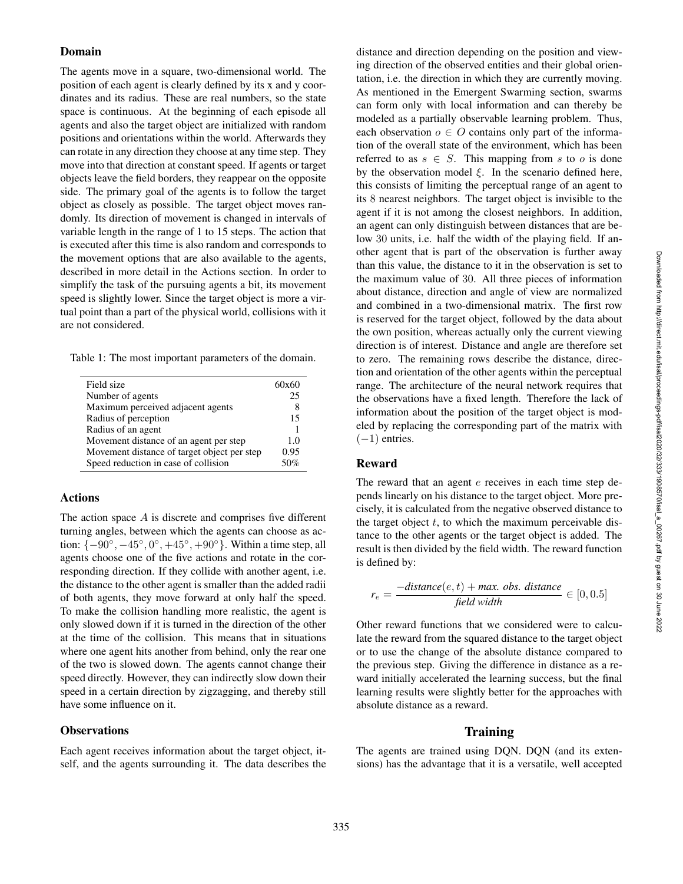### Domain

The agents move in a square, two-dimensional world. The position of each agent is clearly defined by its x and y coordinates and its radius. These are real numbers, so the state space is continuous. At the beginning of each episode all agents and also the target object are initialized with random positions and orientations within the world. Afterwards they can rotate in any direction they choose at any time step. They move into that direction at constant speed. If agents or target objects leave the field borders, they reappear on the opposite side. The primary goal of the agents is to follow the target object as closely as possible. The target object moves randomly. Its direction of movement is changed in intervals of variable length in the range of 1 to 15 steps. The action that is executed after this time is also random and corresponds to the movement options that are also available to the agents, described in more detail in the Actions section. In order to simplify the task of the pursuing agents a bit, its movement speed is slightly lower. Since the target object is more a virtual point than a part of the physical world, collisions with it are not considered.

Table 1: The most important parameters of the domain.

| Field size                                  | 60x60 |
|---------------------------------------------|-------|
| Number of agents                            | 25    |
| Maximum perceived adjacent agents           |       |
| Radius of perception                        | 15    |
| Radius of an agent                          |       |
| Movement distance of an agent per step      | 10    |
| Movement distance of target object per step | 0.95  |
| Speed reduction in case of collision        | ገ‱    |

# Actions

The action space A is discrete and comprises five different turning angles, between which the agents can choose as action:  $\{-90^\circ, -45^\circ, 0^\circ, +45^\circ, +90^\circ\}$ . Within a time step, all agents choose one of the five actions and rotate in the corresponding direction. If they collide with another agent, i.e. the distance to the other agent is smaller than the added radii of both agents, they move forward at only half the speed. To make the collision handling more realistic, the agent is only slowed down if it is turned in the direction of the other at the time of the collision. This means that in situations where one agent hits another from behind, only the rear one of the two is slowed down. The agents cannot change their speed directly. However, they can indirectly slow down their speed in a certain direction by zigzagging, and thereby still have some influence on it.

# **Observations**

Each agent receives information about the target object, itself, and the agents surrounding it. The data describes the distance and direction depending on the position and viewing direction of the observed entities and their global orientation, i.e. the direction in which they are currently moving. As mentioned in the Emergent Swarming section, swarms can form only with local information and can thereby be modeled as a partially observable learning problem. Thus, each observation  $o \in O$  contains only part of the information of the overall state of the environment, which has been referred to as  $s \in S$ . This mapping from s to o is done by the observation model  $\xi$ . In the scenario defined here, this consists of limiting the perceptual range of an agent to its 8 nearest neighbors. The target object is invisible to the agent if it is not among the closest neighbors. In addition, an agent can only distinguish between distances that are below 30 units, i.e. half the width of the playing field. If another agent that is part of the observation is further away than this value, the distance to it in the observation is set to the maximum value of 30. All three pieces of information about distance, direction and angle of view are normalized and combined in a two-dimensional matrix. The first row is reserved for the target object, followed by the data about the own position, whereas actually only the current viewing direction is of interest. Distance and angle are therefore set to zero. The remaining rows describe the distance, direction and orientation of the other agents within the perceptual range. The architecture of the neural network requires that the observations have a fixed length. Therefore the lack of information about the position of the target object is modeled by replacing the corresponding part of the matrix with  $(-1)$  entries.

# Reward

The reward that an agent  $e$  receives in each time step depends linearly on his distance to the target object. More precisely, it is calculated from the negative observed distance to the target object  $t$ , to which the maximum perceivable distance to the other agents or the target object is added. The result is then divided by the field width. The reward function is defined by:

$$
r_e = \frac{-distance(e, t) + max. obs. distance}{field width} \in [0, 0.5]
$$

Other reward functions that we considered were to calculate the reward from the squared distance to the target object or to use the change of the absolute distance compared to the previous step. Giving the difference in distance as a reward initially accelerated the learning success, but the final learning results were slightly better for the approaches with absolute distance as a reward.

# **Training**

The agents are trained using DQN. DQN (and its extensions) has the advantage that it is a versatile, well accepted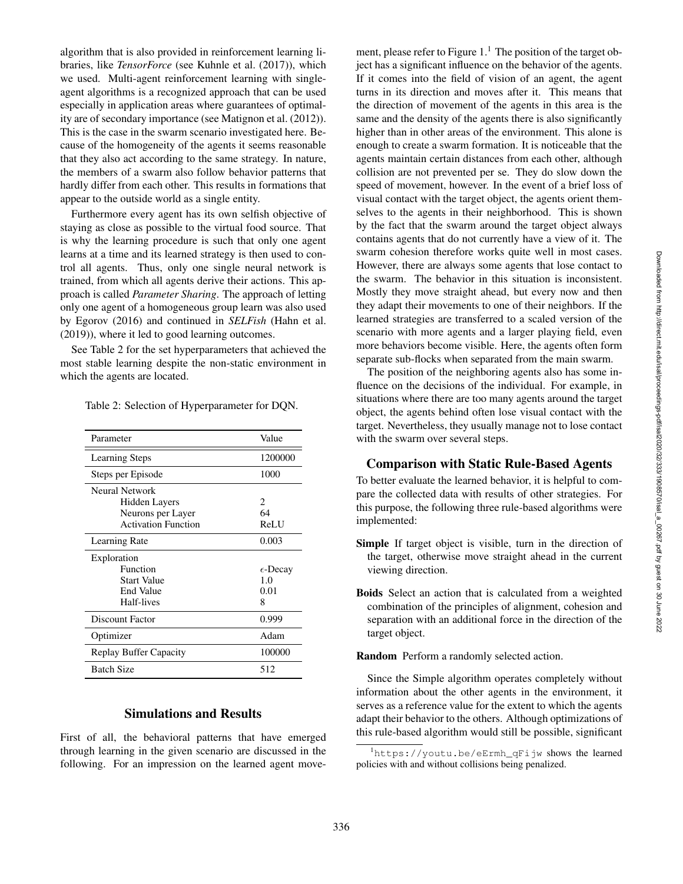algorithm that is also provided in reinforcement learning libraries, like *TensorForce* (see Kuhnle et al. (2017)), which we used. Multi-agent reinforcement learning with singleagent algorithms is a recognized approach that can be used especially in application areas where guarantees of optimality are of secondary importance (see Matignon et al. (2012)). This is the case in the swarm scenario investigated here. Because of the homogeneity of the agents it seems reasonable that they also act according to the same strategy. In nature, the members of a swarm also follow behavior patterns that hardly differ from each other. This results in formations that appear to the outside world as a single entity.

Furthermore every agent has its own selfish objective of staying as close as possible to the virtual food source. That is why the learning procedure is such that only one agent learns at a time and its learned strategy is then used to control all agents. Thus, only one single neural network is trained, from which all agents derive their actions. This approach is called *Parameter Sharing*. The approach of letting only one agent of a homogeneous group learn was also used by Egorov (2016) and continued in *SELFish* (Hahn et al. (2019)), where it led to good learning outcomes.

See Table 2 for the set hyperparameters that achieved the most stable learning despite the non-static environment in which the agents are located.

| Parameter                     | Value             |
|-------------------------------|-------------------|
| <b>Learning Steps</b>         | 1200000           |
| Steps per Episode             | 1000              |
| Neural Network                |                   |
| Hidden Layers                 | 2                 |
| Neurons per Layer             | 64                |
| <b>Activation Function</b>    | <b>ReLU</b>       |
| Learning Rate                 | 0.003             |
| Exploration                   |                   |
| Function                      | $\epsilon$ -Decay |
| Start Value                   | 1.0               |
| End Value                     | 0.01              |
| Half-lives                    | 8                 |
| Discount Factor               | 0.999             |
| Optimizer                     | Adam              |
| <b>Replay Buffer Capacity</b> | 100000            |
| <b>Batch Size</b>             | 512               |

Table 2: Selection of Hyperparameter for DQN.

# Simulations and Results

First of all, the behavioral patterns that have emerged through learning in the given scenario are discussed in the following. For an impression on the learned agent move-

ment, please refer to Figure  $1<sup>1</sup>$ . The position of the target object has a significant influence on the behavior of the agents. If it comes into the field of vision of an agent, the agent turns in its direction and moves after it. This means that the direction of movement of the agents in this area is the same and the density of the agents there is also significantly higher than in other areas of the environment. This alone is enough to create a swarm formation. It is noticeable that the agents maintain certain distances from each other, although collision are not prevented per se. They do slow down the speed of movement, however. In the event of a brief loss of visual contact with the target object, the agents orient themselves to the agents in their neighborhood. This is shown by the fact that the swarm around the target object always contains agents that do not currently have a view of it. The swarm cohesion therefore works quite well in most cases. However, there are always some agents that lose contact to the swarm. The behavior in this situation is inconsistent. Mostly they move straight ahead, but every now and then they adapt their movements to one of their neighbors. If the learned strategies are transferred to a scaled version of the scenario with more agents and a larger playing field, even more behaviors become visible. Here, the agents often form separate sub-flocks when separated from the main swarm.

The position of the neighboring agents also has some influence on the decisions of the individual. For example, in situations where there are too many agents around the target object, the agents behind often lose visual contact with the target. Nevertheless, they usually manage not to lose contact with the swarm over several steps.

#### Comparison with Static Rule-Based Agents

To better evaluate the learned behavior, it is helpful to compare the collected data with results of other strategies. For this purpose, the following three rule-based algorithms were implemented:

- Simple If target object is visible, turn in the direction of the target, otherwise move straight ahead in the current viewing direction.
- Boids Select an action that is calculated from a weighted combination of the principles of alignment, cohesion and separation with an additional force in the direction of the target object.

Random Perform a randomly selected action.

Since the Simple algorithm operates completely without information about the other agents in the environment, it serves as a reference value for the extent to which the agents adapt their behavior to the others. Although optimizations of this rule-based algorithm would still be possible, significant

<sup>1</sup>https://youtu.be/eErmh\_qFijw shows the learned policies with and without collisions being penalized.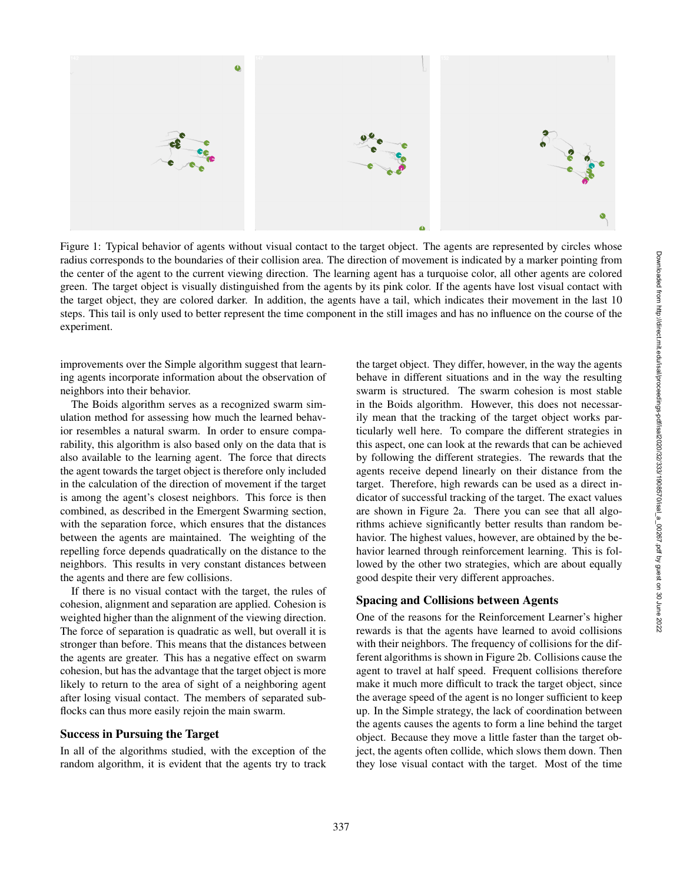

Figure 1: Typical behavior of agents without visual contact to the target object. The agents are represented by circles whose radius corresponds to the boundaries of their collision area. The direction of movement is indicated by a marker pointing from the center of the agent to the current viewing direction. The learning agent has a turquoise color, all other agents are colored green. The target object is visually distinguished from the agents by its pink color. If the agents have lost visual contact with the target object, they are colored darker. In addition, the agents have a tail, which indicates their movement in the last 10 steps. This tail is only used to better represent the time component in the still images and has no influence on the course of the experiment.

improvements over the Simple algorithm suggest that learning agents incorporate information about the observation of neighbors into their behavior.

The Boids algorithm serves as a recognized swarm simulation method for assessing how much the learned behavior resembles a natural swarm. In order to ensure comparability, this algorithm is also based only on the data that is also available to the learning agent. The force that directs the agent towards the target object is therefore only included in the calculation of the direction of movement if the target is among the agent's closest neighbors. This force is then combined, as described in the Emergent Swarming section, with the separation force, which ensures that the distances between the agents are maintained. The weighting of the repelling force depends quadratically on the distance to the neighbors. This results in very constant distances between the agents and there are few collisions.

If there is no visual contact with the target, the rules of cohesion, alignment and separation are applied. Cohesion is weighted higher than the alignment of the viewing direction. The force of separation is quadratic as well, but overall it is stronger than before. This means that the distances between the agents are greater. This has a negative effect on swarm cohesion, but has the advantage that the target object is more likely to return to the area of sight of a neighboring agent after losing visual contact. The members of separated subflocks can thus more easily rejoin the main swarm.

#### Success in Pursuing the Target

In all of the algorithms studied, with the exception of the random algorithm, it is evident that the agents try to track the target object. They differ, however, in the way the agents behave in different situations and in the way the resulting swarm is structured. The swarm cohesion is most stable in the Boids algorithm. However, this does not necessarily mean that the tracking of the target object works particularly well here. To compare the different strategies in this aspect, one can look at the rewards that can be achieved by following the different strategies. The rewards that the agents receive depend linearly on their distance from the target. Therefore, high rewards can be used as a direct indicator of successful tracking of the target. The exact values are shown in Figure 2a. There you can see that all algorithms achieve significantly better results than random behavior. The highest values, however, are obtained by the behavior learned through reinforcement learning. This is followed by the other two strategies, which are about equally good despite their very different approaches.

# Spacing and Collisions between Agents

One of the reasons for the Reinforcement Learner's higher rewards is that the agents have learned to avoid collisions with their neighbors. The frequency of collisions for the different algorithms is shown in Figure 2b. Collisions cause the agent to travel at half speed. Frequent collisions therefore make it much more difficult to track the target object, since the average speed of the agent is no longer sufficient to keep up. In the Simple strategy, the lack of coordination between the agents causes the agents to form a line behind the target object. Because they move a little faster than the target object, the agents often collide, which slows them down. Then they lose visual contact with the target. Most of the time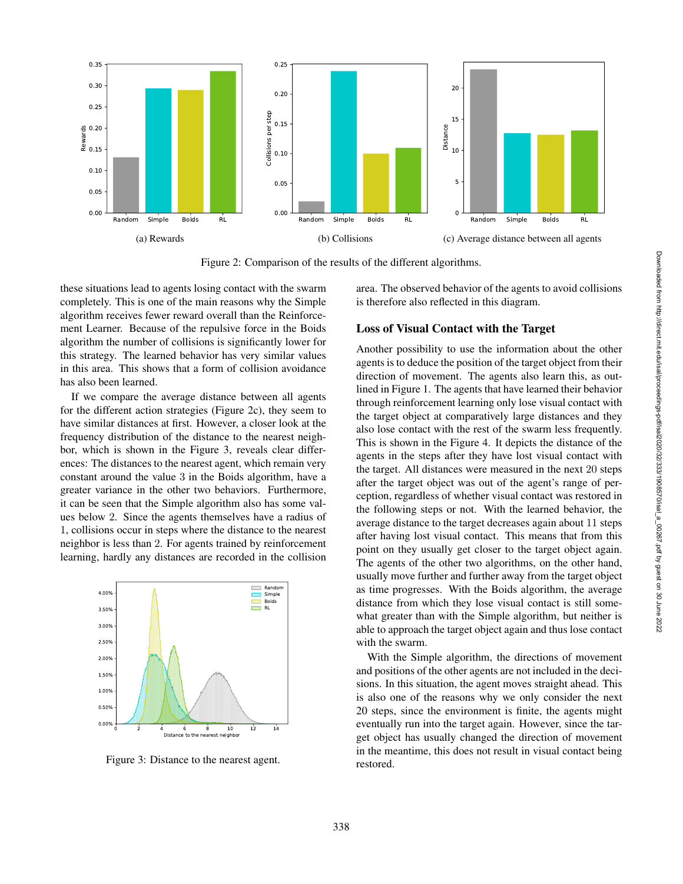

Figure 2: Comparison of the results of the different algorithms.

these situations lead to agents losing contact with the swarm completely. This is one of the main reasons why the Simple algorithm receives fewer reward overall than the Reinforcement Learner. Because of the repulsive force in the Boids algorithm the number of collisions is significantly lower for this strategy. The learned behavior has very similar values in this area. This shows that a form of collision avoidance has also been learned.

If we compare the average distance between all agents for the different action strategies (Figure 2c), they seem to have similar distances at first. However, a closer look at the frequency distribution of the distance to the nearest neighbor, which is shown in the Figure 3, reveals clear differences: The distances to the nearest agent, which remain very constant around the value 3 in the Boids algorithm, have a greater variance in the other two behaviors. Furthermore, it can be seen that the Simple algorithm also has some values below 2. Since the agents themselves have a radius of 1, collisions occur in steps where the distance to the nearest neighbor is less than 2. For agents trained by reinforcement learning, hardly any distances are recorded in the collision



Figure 3: Distance to the nearest agent.

area. The observed behavior of the agents to avoid collisions is therefore also reflected in this diagram.

#### Loss of Visual Contact with the Target

Another possibility to use the information about the other agents is to deduce the position of the target object from their direction of movement. The agents also learn this, as outlined in Figure 1. The agents that have learned their behavior through reinforcement learning only lose visual contact with the target object at comparatively large distances and they also lose contact with the rest of the swarm less frequently. This is shown in the Figure 4. It depicts the distance of the agents in the steps after they have lost visual contact with the target. All distances were measured in the next 20 steps after the target object was out of the agent's range of perception, regardless of whether visual contact was restored in the following steps or not. With the learned behavior, the average distance to the target decreases again about 11 steps after having lost visual contact. This means that from this point on they usually get closer to the target object again. The agents of the other two algorithms, on the other hand, usually move further and further away from the target object as time progresses. With the Boids algorithm, the average distance from which they lose visual contact is still somewhat greater than with the Simple algorithm, but neither is able to approach the target object again and thus lose contact with the swarm.

With the Simple algorithm, the directions of movement and positions of the other agents are not included in the decisions. In this situation, the agent moves straight ahead. This is also one of the reasons why we only consider the next 20 steps, since the environment is finite, the agents might eventually run into the target again. However, since the target object has usually changed the direction of movement in the meantime, this does not result in visual contact being restored.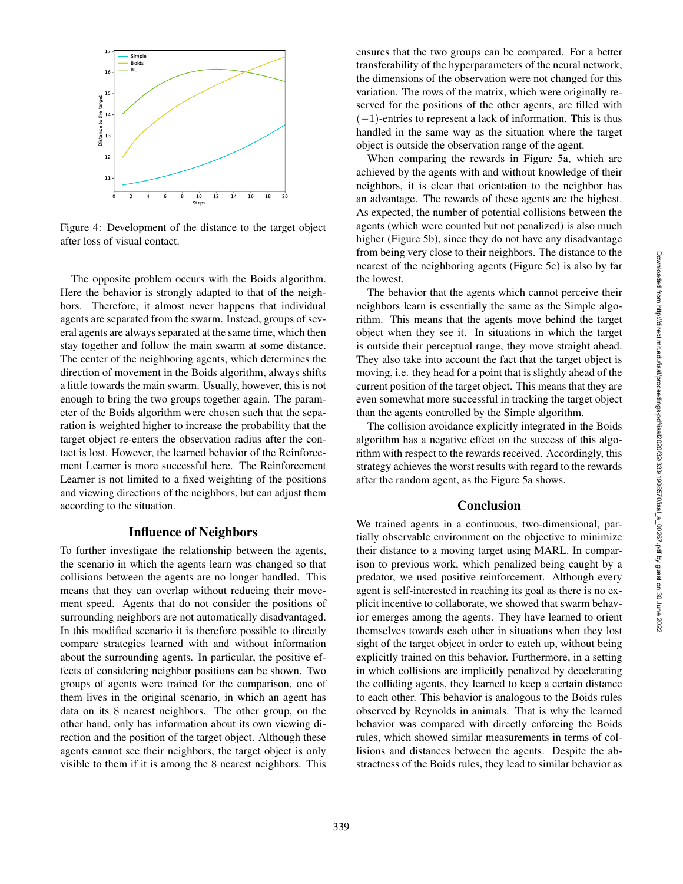

Figure 4: Development of the distance to the target object after loss of visual contact.

The opposite problem occurs with the Boids algorithm. Here the behavior is strongly adapted to that of the neighbors. Therefore, it almost never happens that individual agents are separated from the swarm. Instead, groups of several agents are always separated at the same time, which then stay together and follow the main swarm at some distance. The center of the neighboring agents, which determines the direction of movement in the Boids algorithm, always shifts a little towards the main swarm. Usually, however, this is not enough to bring the two groups together again. The parameter of the Boids algorithm were chosen such that the separation is weighted higher to increase the probability that the target object re-enters the observation radius after the contact is lost. However, the learned behavior of the Reinforcement Learner is more successful here. The Reinforcement Learner is not limited to a fixed weighting of the positions and viewing directions of the neighbors, but can adjust them according to the situation.

### Influence of Neighbors

To further investigate the relationship between the agents, the scenario in which the agents learn was changed so that collisions between the agents are no longer handled. This means that they can overlap without reducing their movement speed. Agents that do not consider the positions of surrounding neighbors are not automatically disadvantaged. In this modified scenario it is therefore possible to directly compare strategies learned with and without information about the surrounding agents. In particular, the positive effects of considering neighbor positions can be shown. Two groups of agents were trained for the comparison, one of them lives in the original scenario, in which an agent has data on its 8 nearest neighbors. The other group, on the other hand, only has information about its own viewing direction and the position of the target object. Although these agents cannot see their neighbors, the target object is only visible to them if it is among the 8 nearest neighbors. This

ensures that the two groups can be compared. For a better transferability of the hyperparameters of the neural network, the dimensions of the observation were not changed for this variation. The rows of the matrix, which were originally reserved for the positions of the other agents, are filled with  $(-1)$ -entries to represent a lack of information. This is thus handled in the same way as the situation where the target object is outside the observation range of the agent.

When comparing the rewards in Figure 5a, which are achieved by the agents with and without knowledge of their neighbors, it is clear that orientation to the neighbor has an advantage. The rewards of these agents are the highest. As expected, the number of potential collisions between the agents (which were counted but not penalized) is also much higher (Figure 5b), since they do not have any disadvantage from being very close to their neighbors. The distance to the nearest of the neighboring agents (Figure 5c) is also by far the lowest.

The behavior that the agents which cannot perceive their neighbors learn is essentially the same as the Simple algorithm. This means that the agents move behind the target object when they see it. In situations in which the target is outside their perceptual range, they move straight ahead. They also take into account the fact that the target object is moving, i.e. they head for a point that is slightly ahead of the current position of the target object. This means that they are even somewhat more successful in tracking the target object than the agents controlled by the Simple algorithm.

The collision avoidance explicitly integrated in the Boids algorithm has a negative effect on the success of this algorithm with respect to the rewards received. Accordingly, this strategy achieves the worst results with regard to the rewards after the random agent, as the Figure 5a shows.

# Conclusion

We trained agents in a continuous, two-dimensional, partially observable environment on the objective to minimize their distance to a moving target using MARL. In comparison to previous work, which penalized being caught by a predator, we used positive reinforcement. Although every agent is self-interested in reaching its goal as there is no explicit incentive to collaborate, we showed that swarm behavior emerges among the agents. They have learned to orient themselves towards each other in situations when they lost sight of the target object in order to catch up, without being explicitly trained on this behavior. Furthermore, in a setting in which collisions are implicitly penalized by decelerating the colliding agents, they learned to keep a certain distance to each other. This behavior is analogous to the Boids rules observed by Reynolds in animals. That is why the learned behavior was compared with directly enforcing the Boids rules, which showed similar measurements in terms of collisions and distances between the agents. Despite the abstractness of the Boids rules, they lead to similar behavior as